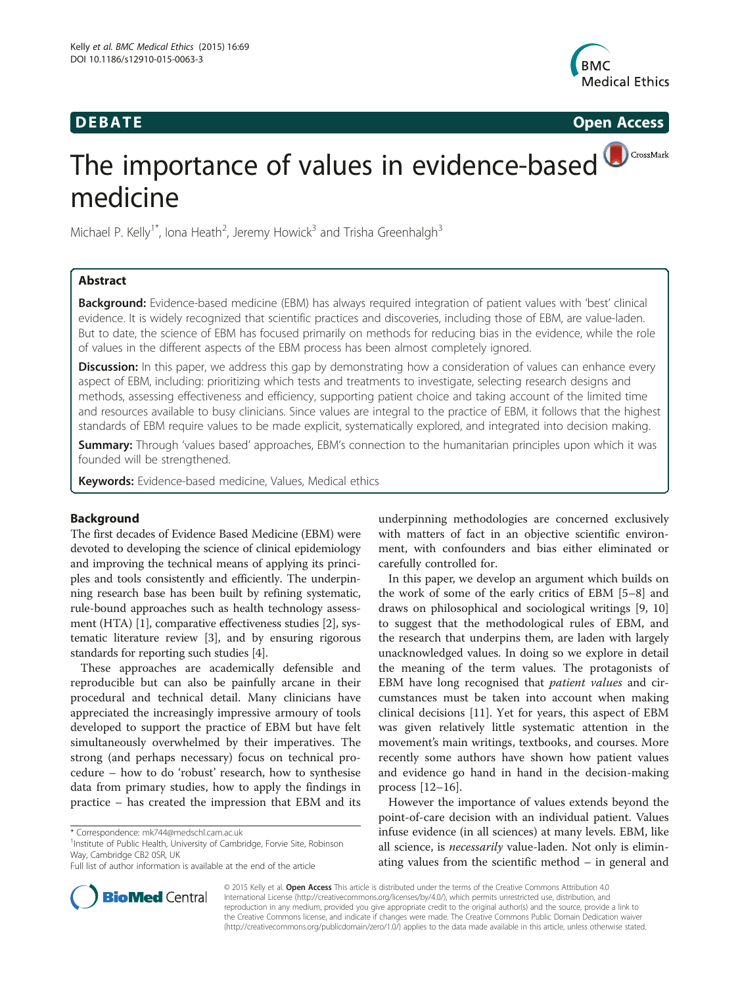# **DEBATE CONSIDERENT CONSIDERED ACCESS**



# CrossMark The importance of values in evidence-based medicine

Michael P. Kelly<sup>1\*</sup>, Iona Heath<sup>2</sup>, Jeremy Howick<sup>3</sup> and Trisha Greenhalgh<sup>3</sup>

# Abstract

Background: Evidence-based medicine (EBM) has always required integration of patient values with 'best' clinical evidence. It is widely recognized that scientific practices and discoveries, including those of EBM, are value-laden. But to date, the science of EBM has focused primarily on methods for reducing bias in the evidence, while the role of values in the different aspects of the EBM process has been almost completely ignored.

**Discussion:** In this paper, we address this gap by demonstrating how a consideration of values can enhance every aspect of EBM, including: prioritizing which tests and treatments to investigate, selecting research designs and methods, assessing effectiveness and efficiency, supporting patient choice and taking account of the limited time and resources available to busy clinicians. Since values are integral to the practice of EBM, it follows that the highest standards of EBM require values to be made explicit, systematically explored, and integrated into decision making.

Summary: Through 'values based' approaches, EBM's connection to the humanitarian principles upon which it was founded will be strengthened.

Keywords: Evidence-based medicine, Values, Medical ethics

# Background

The first decades of Evidence Based Medicine (EBM) were devoted to developing the science of clinical epidemiology and improving the technical means of applying its principles and tools consistently and efficiently. The underpinning research base has been built by refining systematic, rule-bound approaches such as health technology assessment (HTA) [\[1](#page-6-0)], comparative effectiveness studies [[2](#page-6-0)], systematic literature review [[3](#page-6-0)], and by ensuring rigorous standards for reporting such studies [[4\]](#page-6-0).

These approaches are academically defensible and reproducible but can also be painfully arcane in their procedural and technical detail. Many clinicians have appreciated the increasingly impressive armoury of tools developed to support the practice of EBM but have felt simultaneously overwhelmed by their imperatives. The strong (and perhaps necessary) focus on technical procedure – how to do 'robust' research, how to synthesise data from primary studies, how to apply the findings in practice – has created the impression that EBM and its

<sup>1</sup>Institute of Public Health, University of Cambridge, Forvie Site, Robinson Way, Cambridge CB2 0SR, UK

underpinning methodologies are concerned exclusively with matters of fact in an objective scientific environment, with confounders and bias either eliminated or carefully controlled for.

In this paper, we develop an argument which builds on the work of some of the early critics of EBM [[5](#page-6-0)–[8\]](#page-6-0) and draws on philosophical and sociological writings [[9, 10](#page-6-0)] to suggest that the methodological rules of EBM, and the research that underpins them, are laden with largely unacknowledged values. In doing so we explore in detail the meaning of the term values. The protagonists of EBM have long recognised that *patient values* and circumstances must be taken into account when making clinical decisions [\[11\]](#page-6-0). Yet for years, this aspect of EBM was given relatively little systematic attention in the movement's main writings, textbooks, and courses. More recently some authors have shown how patient values and evidence go hand in hand in the decision-making process [\[12](#page-6-0)–[16\]](#page-6-0).

However the importance of values extends beyond the point-of-care decision with an individual patient. Values infuse evidence (in all sciences) at many levels. EBM, like all science, is necessarily value-laden. Not only is eliminating values from the scientific method – in general and



© 2015 Kelly et al. Open Access This article is distributed under the terms of the Creative Commons Attribution 4.0 International License (http://creativecommons.org/licenses/by/4.0/), which permits unrestricted use, distribution, and reproduction in any medium, provided you give appropriate credit to the original author(s) and the source, provide a link to the Creative Commons license, and indicate if changes were made. The Creative Commons Public Domain Dedication waiver (http://creativecommons.org/publicdomain/zero/1.0/) applies to the data made available in this article, unless otherwise stated.

<sup>\*</sup> Correspondence: [mk744@medschl.cam.ac.uk](mailto:mk744@medschl.cam.ac.uk) <sup>1</sup>

Full list of author information is available at the end of the article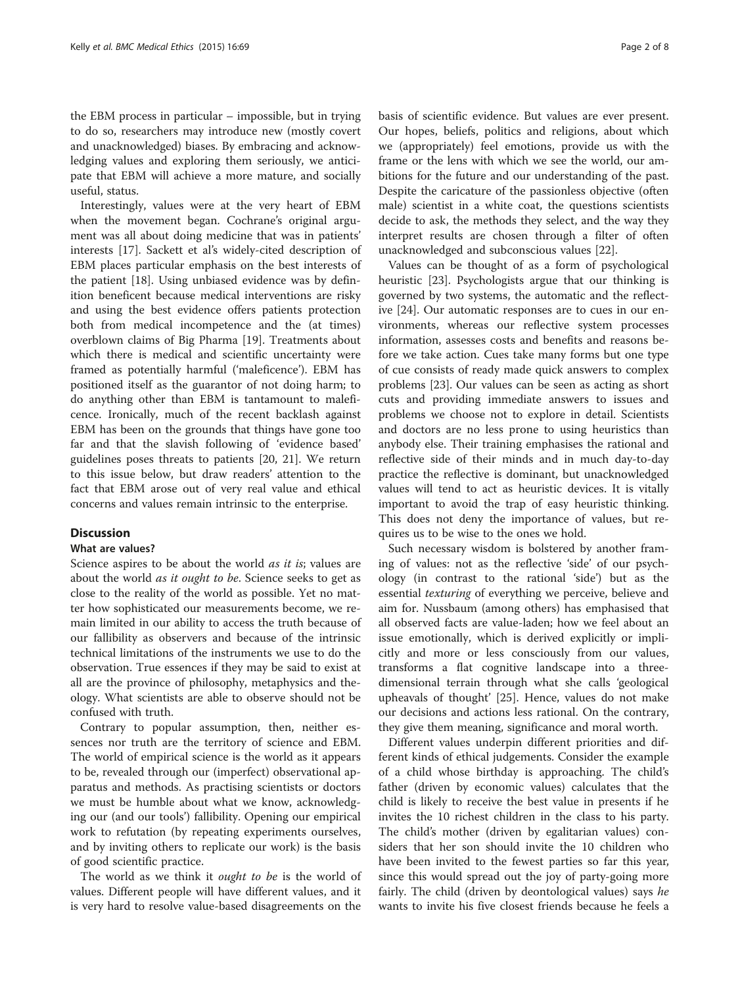the EBM process in particular – impossible, but in trying to do so, researchers may introduce new (mostly covert and unacknowledged) biases. By embracing and acknowledging values and exploring them seriously, we anticipate that EBM will achieve a more mature, and socially useful, status.

Interestingly, values were at the very heart of EBM when the movement began. Cochrane's original argument was all about doing medicine that was in patients' interests [\[17](#page-6-0)]. Sackett et al's widely-cited description of EBM places particular emphasis on the best interests of the patient [[18](#page-6-0)]. Using unbiased evidence was by definition beneficent because medical interventions are risky and using the best evidence offers patients protection both from medical incompetence and the (at times) overblown claims of Big Pharma [\[19\]](#page-6-0). Treatments about which there is medical and scientific uncertainty were framed as potentially harmful ('maleficence'). EBM has positioned itself as the guarantor of not doing harm; to do anything other than EBM is tantamount to maleficence. Ironically, much of the recent backlash against EBM has been on the grounds that things have gone too far and that the slavish following of 'evidence based' guidelines poses threats to patients [[20](#page-6-0), [21](#page-6-0)]. We return to this issue below, but draw readers' attention to the fact that EBM arose out of very real value and ethical concerns and values remain intrinsic to the enterprise.

# **Discussion**

#### What are values?

Science aspires to be about the world *as it is*; values are about the world as it ought to be. Science seeks to get as close to the reality of the world as possible. Yet no matter how sophisticated our measurements become, we remain limited in our ability to access the truth because of our fallibility as observers and because of the intrinsic technical limitations of the instruments we use to do the observation. True essences if they may be said to exist at all are the province of philosophy, metaphysics and theology. What scientists are able to observe should not be confused with truth.

Contrary to popular assumption, then, neither essences nor truth are the territory of science and EBM. The world of empirical science is the world as it appears to be, revealed through our (imperfect) observational apparatus and methods. As practising scientists or doctors we must be humble about what we know, acknowledging our (and our tools') fallibility. Opening our empirical work to refutation (by repeating experiments ourselves, and by inviting others to replicate our work) is the basis of good scientific practice.

The world as we think it *ought to be* is the world of values. Different people will have different values, and it is very hard to resolve value-based disagreements on the basis of scientific evidence. But values are ever present. Our hopes, beliefs, politics and religions, about which we (appropriately) feel emotions, provide us with the frame or the lens with which we see the world, our ambitions for the future and our understanding of the past. Despite the caricature of the passionless objective (often male) scientist in a white coat, the questions scientists decide to ask, the methods they select, and the way they interpret results are chosen through a filter of often unacknowledged and subconscious values [\[22\]](#page-6-0).

Values can be thought of as a form of psychological heuristic [[23\]](#page-6-0). Psychologists argue that our thinking is governed by two systems, the automatic and the reflective [[24](#page-6-0)]. Our automatic responses are to cues in our environments, whereas our reflective system processes information, assesses costs and benefits and reasons before we take action. Cues take many forms but one type of cue consists of ready made quick answers to complex problems [\[23\]](#page-6-0). Our values can be seen as acting as short cuts and providing immediate answers to issues and problems we choose not to explore in detail. Scientists and doctors are no less prone to using heuristics than anybody else. Their training emphasises the rational and reflective side of their minds and in much day-to-day practice the reflective is dominant, but unacknowledged values will tend to act as heuristic devices. It is vitally important to avoid the trap of easy heuristic thinking. This does not deny the importance of values, but requires us to be wise to the ones we hold.

Such necessary wisdom is bolstered by another framing of values: not as the reflective 'side' of our psychology (in contrast to the rational 'side') but as the essential texturing of everything we perceive, believe and aim for. Nussbaum (among others) has emphasised that all observed facts are value-laden; how we feel about an issue emotionally, which is derived explicitly or implicitly and more or less consciously from our values, transforms a flat cognitive landscape into a threedimensional terrain through what she calls 'geological upheavals of thought' [[25](#page-6-0)]. Hence, values do not make our decisions and actions less rational. On the contrary, they give them meaning, significance and moral worth.

Different values underpin different priorities and different kinds of ethical judgements. Consider the example of a child whose birthday is approaching. The child's father (driven by economic values) calculates that the child is likely to receive the best value in presents if he invites the 10 richest children in the class to his party. The child's mother (driven by egalitarian values) considers that her son should invite the 10 children who have been invited to the fewest parties so far this year, since this would spread out the joy of party-going more fairly. The child (driven by deontological values) says he wants to invite his five closest friends because he feels a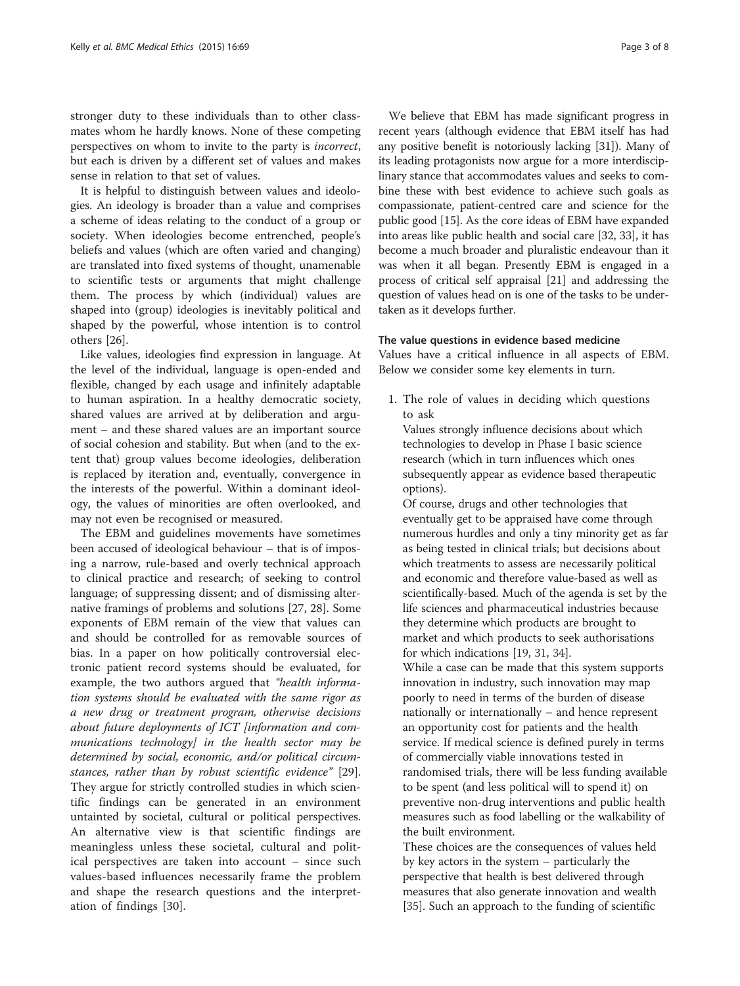stronger duty to these individuals than to other classmates whom he hardly knows. None of these competing perspectives on whom to invite to the party is incorrect, but each is driven by a different set of values and makes sense in relation to that set of values.

It is helpful to distinguish between values and ideologies. An ideology is broader than a value and comprises a scheme of ideas relating to the conduct of a group or society. When ideologies become entrenched, people's beliefs and values (which are often varied and changing) are translated into fixed systems of thought, unamenable to scientific tests or arguments that might challenge them. The process by which (individual) values are shaped into (group) ideologies is inevitably political and shaped by the powerful, whose intention is to control others [\[26](#page-6-0)].

Like values, ideologies find expression in language. At the level of the individual, language is open-ended and flexible, changed by each usage and infinitely adaptable to human aspiration. In a healthy democratic society, shared values are arrived at by deliberation and argument – and these shared values are an important source of social cohesion and stability. But when (and to the extent that) group values become ideologies, deliberation is replaced by iteration and, eventually, convergence in the interests of the powerful. Within a dominant ideology, the values of minorities are often overlooked, and may not even be recognised or measured.

The EBM and guidelines movements have sometimes been accused of ideological behaviour – that is of imposing a narrow, rule-based and overly technical approach to clinical practice and research; of seeking to control language; of suppressing dissent; and of dismissing alternative framings of problems and solutions [[27, 28\]](#page-6-0). Some exponents of EBM remain of the view that values can and should be controlled for as removable sources of bias. In a paper on how politically controversial electronic patient record systems should be evaluated, for example, the two authors argued that "health information systems should be evaluated with the same rigor as a new drug or treatment program, otherwise decisions about future deployments of ICT [information and communications technology] in the health sector may be determined by social, economic, and/or political circumstances, rather than by robust scientific evidence" [\[29](#page-6-0)]. They argue for strictly controlled studies in which scientific findings can be generated in an environment untainted by societal, cultural or political perspectives. An alternative view is that scientific findings are meaningless unless these societal, cultural and political perspectives are taken into account – since such values-based influences necessarily frame the problem and shape the research questions and the interpretation of findings [\[30](#page-6-0)].

We believe that EBM has made significant progress in recent years (although evidence that EBM itself has had any positive benefit is notoriously lacking [\[31\]](#page-6-0)). Many of its leading protagonists now argue for a more interdisciplinary stance that accommodates values and seeks to combine these with best evidence to achieve such goals as compassionate, patient-centred care and science for the public good [[15](#page-6-0)]. As the core ideas of EBM have expanded into areas like public health and social care [\[32, 33\]](#page-6-0), it has become a much broader and pluralistic endeavour than it was when it all began. Presently EBM is engaged in a process of critical self appraisal [\[21\]](#page-6-0) and addressing the question of values head on is one of the tasks to be undertaken as it develops further.

# The value questions in evidence based medicine

Values have a critical influence in all aspects of EBM. Below we consider some key elements in turn.

1. The role of values in deciding which questions to ask

Values strongly influence decisions about which technologies to develop in Phase I basic science research (which in turn influences which ones subsequently appear as evidence based therapeutic options).

Of course, drugs and other technologies that eventually get to be appraised have come through numerous hurdles and only a tiny minority get as far as being tested in clinical trials; but decisions about which treatments to assess are necessarily political and economic and therefore value-based as well as scientifically-based. Much of the agenda is set by the life sciences and pharmaceutical industries because they determine which products are brought to market and which products to seek authorisations for which indications [[19](#page-6-0), [31](#page-6-0), [34\]](#page-6-0).

While a case can be made that this system supports innovation in industry, such innovation may map poorly to need in terms of the burden of disease nationally or internationally – and hence represent an opportunity cost for patients and the health service. If medical science is defined purely in terms of commercially viable innovations tested in randomised trials, there will be less funding available to be spent (and less political will to spend it) on preventive non-drug interventions and public health measures such as food labelling or the walkability of the built environment.

These choices are the consequences of values held by key actors in the system – particularly the perspective that health is best delivered through measures that also generate innovation and wealth [[35](#page-6-0)]. Such an approach to the funding of scientific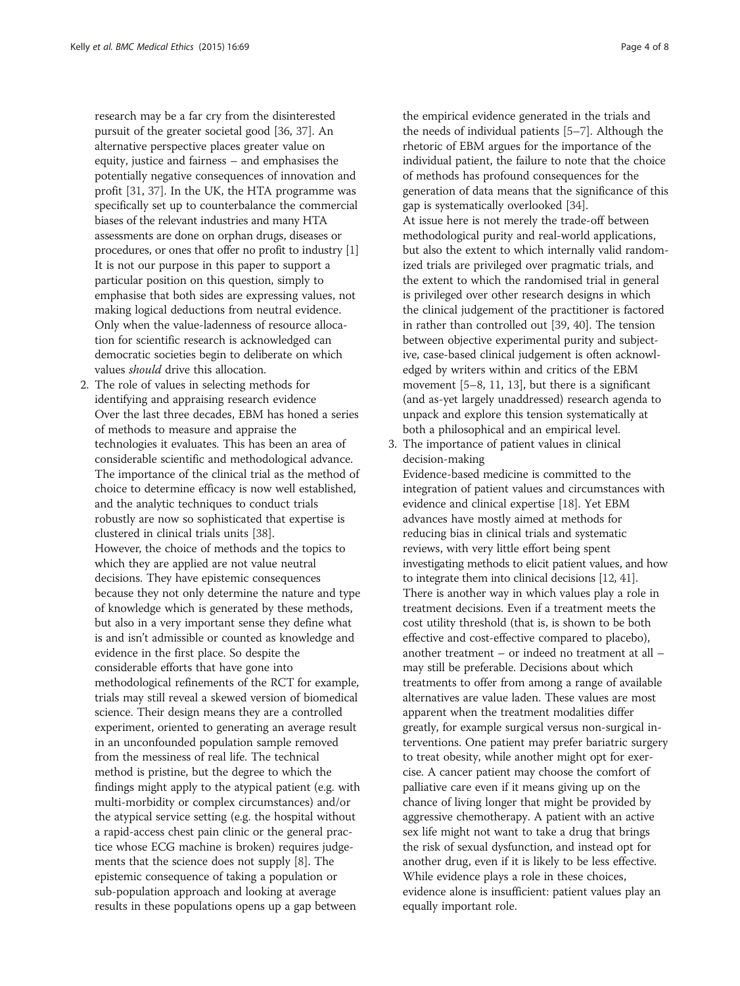research may be a far cry from the disinterested pursuit of the greater societal good [[36](#page-6-0), [37](#page-6-0)]. An alternative perspective places greater value on equity, justice and fairness – and emphasises the potentially negative consequences of innovation and profit [[31](#page-6-0), [37\]](#page-6-0). In the UK, the HTA programme was specifically set up to counterbalance the commercial biases of the relevant industries and many HTA assessments are done on orphan drugs, diseases or procedures, or ones that offer no profit to industry [\[1\]](#page-6-0) It is not our purpose in this paper to support a particular position on this question, simply to emphasise that both sides are expressing values, not making logical deductions from neutral evidence. Only when the value-ladenness of resource allocation for scientific research is acknowledged can democratic societies begin to deliberate on which values should drive this allocation.

2. The role of values in selecting methods for identifying and appraising research evidence Over the last three decades, EBM has honed a series of methods to measure and appraise the technologies it evaluates. This has been an area of considerable scientific and methodological advance. The importance of the clinical trial as the method of choice to determine efficacy is now well established, and the analytic techniques to conduct trials robustly are now so sophisticated that expertise is clustered in clinical trials units [\[38\]](#page-6-0). However, the choice of methods and the topics to which they are applied are not value neutral decisions. They have epistemic consequences because they not only determine the nature and type of knowledge which is generated by these methods, but also in a very important sense they define what is and isn't admissible or counted as knowledge and evidence in the first place. So despite the considerable efforts that have gone into methodological refinements of the RCT for example, trials may still reveal a skewed version of biomedical science. Their design means they are a controlled experiment, oriented to generating an average result in an unconfounded population sample removed from the messiness of real life. The technical method is pristine, but the degree to which the findings might apply to the atypical patient (e.g. with multi-morbidity or complex circumstances) and/or the atypical service setting (e.g. the hospital without a rapid-access chest pain clinic or the general practice whose ECG machine is broken) requires judgements that the science does not supply [[8\]](#page-6-0). The epistemic consequence of taking a population or sub-population approach and looking at average results in these populations opens up a gap between

the empirical evidence generated in the trials and the needs of individual patients [\[5](#page-6-0)–[7\]](#page-6-0). Although the rhetoric of EBM argues for the importance of the individual patient, the failure to note that the choice of methods has profound consequences for the generation of data means that the significance of this gap is systematically overlooked [[34](#page-6-0)]. At issue here is not merely the trade-off between methodological purity and real-world applications, but also the extent to which internally valid randomized trials are privileged over pragmatic trials, and the extent to which the randomised trial in general is privileged over other research designs in which the clinical judgement of the practitioner is factored in rather than controlled out [[39](#page-6-0), [40](#page-7-0)]. The tension between objective experimental purity and subjective, case-based clinical judgement is often acknowledged by writers within and critics of the EBM movement [\[5](#page-6-0)–[8,](#page-6-0) [11](#page-6-0), [13](#page-6-0)], but there is a significant (and as-yet largely unaddressed) research agenda to unpack and explore this tension systematically at both a philosophical and an empirical level.

3. The importance of patient values in clinical decision-making

Evidence-based medicine is committed to the integration of patient values and circumstances with evidence and clinical expertise [[18](#page-6-0)]. Yet EBM advances have mostly aimed at methods for reducing bias in clinical trials and systematic reviews, with very little effort being spent investigating methods to elicit patient values, and how to integrate them into clinical decisions [\[12](#page-6-0), [41\]](#page-7-0). There is another way in which values play a role in treatment decisions. Even if a treatment meets the cost utility threshold (that is, is shown to be both effective and cost-effective compared to placebo), another treatment – or indeed no treatment at all – may still be preferable. Decisions about which treatments to offer from among a range of available alternatives are value laden. These values are most apparent when the treatment modalities differ greatly, for example surgical versus non-surgical interventions. One patient may prefer bariatric surgery to treat obesity, while another might opt for exercise. A cancer patient may choose the comfort of palliative care even if it means giving up on the chance of living longer that might be provided by aggressive chemotherapy. A patient with an active sex life might not want to take a drug that brings the risk of sexual dysfunction, and instead opt for another drug, even if it is likely to be less effective. While evidence plays a role in these choices, evidence alone is insufficient: patient values play an equally important role.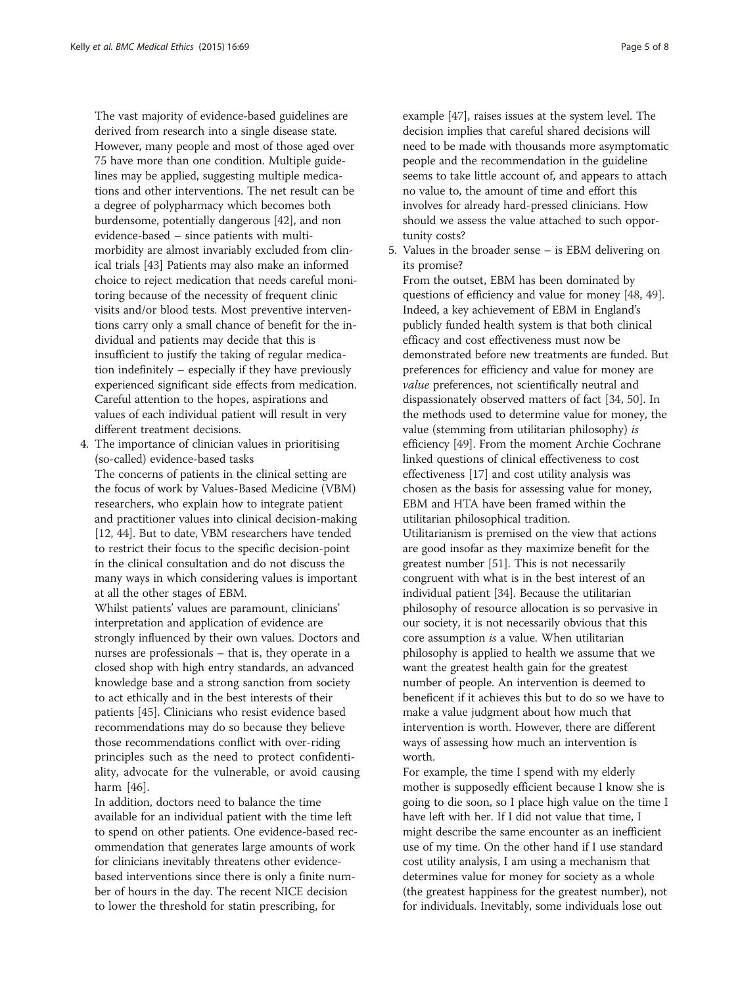The vast majority of evidence-based guidelines are derived from research into a single disease state. However, many people and most of those aged over 75 have more than one condition. Multiple guidelines may be applied, suggesting multiple medications and other interventions. The net result can be a degree of polypharmacy which becomes both burdensome, potentially dangerous [\[42](#page-7-0)], and non evidence-based – since patients with multimorbidity are almost invariably excluded from clinical trials [[43](#page-7-0)] Patients may also make an informed choice to reject medication that needs careful monitoring because of the necessity of frequent clinic visits and/or blood tests. Most preventive interventions carry only a small chance of benefit for the individual and patients may decide that this is insufficient to justify the taking of regular medication indefinitely – especially if they have previously experienced significant side effects from medication. Careful attention to the hopes, aspirations and values of each individual patient will result in very different treatment decisions.

4. The importance of clinician values in prioritising (so-called) evidence-based tasks The concerns of patients in the clinical setting are the focus of work by Values-Based Medicine (VBM) researchers, who explain how to integrate patient and practitioner values into clinical decision-making [\[12](#page-6-0), [44\]](#page-7-0). But to date, VBM researchers have tended to restrict their focus to the specific decision-point in the clinical consultation and do not discuss the many ways in which considering values is important at all the other stages of EBM.

Whilst patients' values are paramount, clinicians' interpretation and application of evidence are strongly influenced by their own values. Doctors and nurses are professionals – that is, they operate in a closed shop with high entry standards, an advanced knowledge base and a strong sanction from society to act ethically and in the best interests of their patients [[45\]](#page-7-0). Clinicians who resist evidence based recommendations may do so because they believe those recommendations conflict with over-riding principles such as the need to protect confidentiality, advocate for the vulnerable, or avoid causing harm [\[46](#page-7-0)].

In addition, doctors need to balance the time available for an individual patient with the time left to spend on other patients. One evidence-based recommendation that generates large amounts of work for clinicians inevitably threatens other evidencebased interventions since there is only a finite number of hours in the day. The recent NICE decision to lower the threshold for statin prescribing, for

example [[47](#page-7-0)], raises issues at the system level. The decision implies that careful shared decisions will need to be made with thousands more asymptomatic people and the recommendation in the guideline seems to take little account of, and appears to attach no value to, the amount of time and effort this involves for already hard-pressed clinicians. How should we assess the value attached to such opportunity costs?

5. Values in the broader sense – is EBM delivering on its promise?

From the outset, EBM has been dominated by questions of efficiency and value for money [\[48](#page-7-0), [49\]](#page-7-0). Indeed, a key achievement of EBM in England's publicly funded health system is that both clinical efficacy and cost effectiveness must now be demonstrated before new treatments are funded. But preferences for efficiency and value for money are value preferences, not scientifically neutral and dispassionately observed matters of fact [\[34,](#page-6-0) [50\]](#page-7-0). In the methods used to determine value for money, the value (stemming from utilitarian philosophy) is efficiency [[49\]](#page-7-0). From the moment Archie Cochrane linked questions of clinical effectiveness to cost effectiveness [\[17](#page-6-0)] and cost utility analysis was chosen as the basis for assessing value for money, EBM and HTA have been framed within the utilitarian philosophical tradition. Utilitarianism is premised on the view that actions are good insofar as they maximize benefit for the greatest number [\[51\]](#page-7-0). This is not necessarily congruent with what is in the best interest of an individual patient [[34](#page-6-0)]. Because the utilitarian philosophy of resource allocation is so pervasive in our society, it is not necessarily obvious that this core assumption is a value. When utilitarian philosophy is applied to health we assume that we want the greatest health gain for the greatest number of people. An intervention is deemed to beneficent if it achieves this but to do so we have to make a value judgment about how much that intervention is worth. However, there are different ways of assessing how much an intervention is worth.

For example, the time I spend with my elderly mother is supposedly efficient because I know she is going to die soon, so I place high value on the time I have left with her. If I did not value that time, I might describe the same encounter as an inefficient use of my time. On the other hand if I use standard cost utility analysis, I am using a mechanism that determines value for money for society as a whole (the greatest happiness for the greatest number), not for individuals. Inevitably, some individuals lose out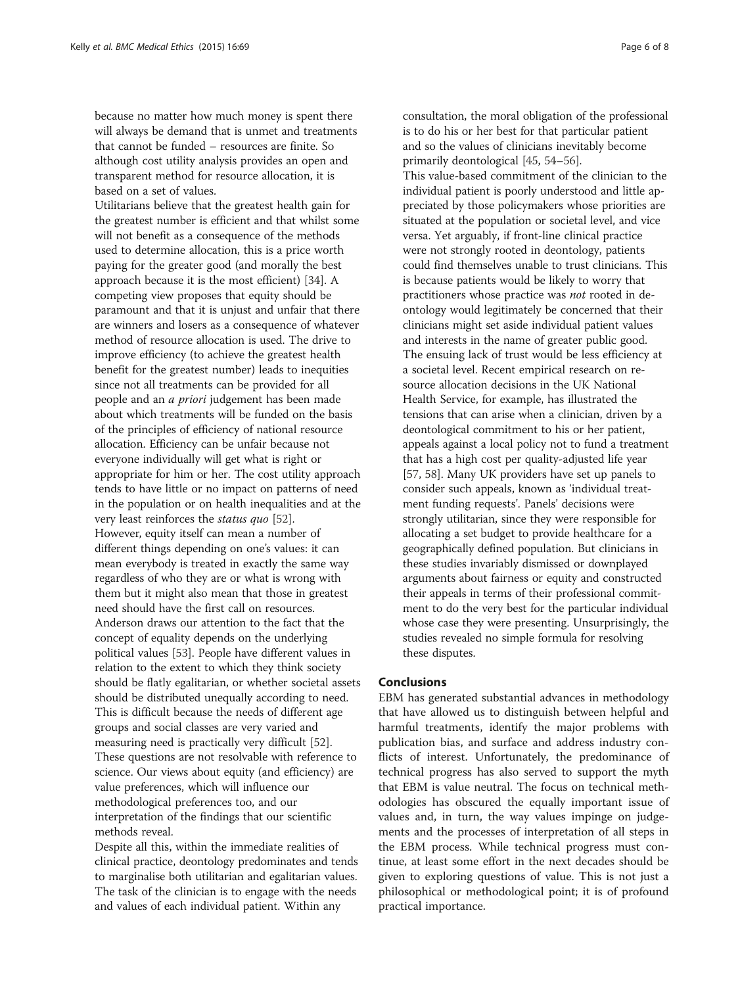because no matter how much money is spent there will always be demand that is unmet and treatments that cannot be funded – resources are finite. So although cost utility analysis provides an open and transparent method for resource allocation, it is based on a set of values.

Utilitarians believe that the greatest health gain for the greatest number is efficient and that whilst some will not benefit as a consequence of the methods used to determine allocation, this is a price worth paying for the greater good (and morally the best approach because it is the most efficient) [\[34\]](#page-6-0). A competing view proposes that equity should be paramount and that it is unjust and unfair that there are winners and losers as a consequence of whatever method of resource allocation is used. The drive to improve efficiency (to achieve the greatest health benefit for the greatest number) leads to inequities since not all treatments can be provided for all people and an a priori judgement has been made about which treatments will be funded on the basis of the principles of efficiency of national resource allocation. Efficiency can be unfair because not everyone individually will get what is right or appropriate for him or her. The cost utility approach tends to have little or no impact on patterns of need in the population or on health inequalities and at the very least reinforces the status quo [\[52](#page-7-0)]. However, equity itself can mean a number of different things depending on one's values: it can mean everybody is treated in exactly the same way regardless of who they are or what is wrong with them but it might also mean that those in greatest need should have the first call on resources. Anderson draws our attention to the fact that the concept of equality depends on the underlying political values [[53](#page-7-0)]. People have different values in relation to the extent to which they think society should be flatly egalitarian, or whether societal assets should be distributed unequally according to need. This is difficult because the needs of different age groups and social classes are very varied and measuring need is practically very difficult [[52](#page-7-0)]. These questions are not resolvable with reference to science. Our views about equity (and efficiency) are value preferences, which will influence our methodological preferences too, and our interpretation of the findings that our scientific methods reveal.

Despite all this, within the immediate realities of clinical practice, deontology predominates and tends to marginalise both utilitarian and egalitarian values. The task of the clinician is to engage with the needs and values of each individual patient. Within any

consultation, the moral obligation of the professional is to do his or her best for that particular patient and so the values of clinicians inevitably become primarily deontological [[45](#page-7-0), [54](#page-7-0)–[56](#page-7-0)]. This value-based commitment of the clinician to the individual patient is poorly understood and little appreciated by those policymakers whose priorities are situated at the population or societal level, and vice versa. Yet arguably, if front-line clinical practice were not strongly rooted in deontology, patients could find themselves unable to trust clinicians. This is because patients would be likely to worry that practitioners whose practice was not rooted in deontology would legitimately be concerned that their clinicians might set aside individual patient values and interests in the name of greater public good. The ensuing lack of trust would be less efficiency at a societal level. Recent empirical research on resource allocation decisions in the UK National Health Service, for example, has illustrated the tensions that can arise when a clinician, driven by a deontological commitment to his or her patient, appeals against a local policy not to fund a treatment that has a high cost per quality-adjusted life year [[57](#page-7-0), [58\]](#page-7-0). Many UK providers have set up panels to consider such appeals, known as 'individual treatment funding requests'. Panels' decisions were strongly utilitarian, since they were responsible for allocating a set budget to provide healthcare for a geographically defined population. But clinicians in these studies invariably dismissed or downplayed arguments about fairness or equity and constructed their appeals in terms of their professional commitment to do the very best for the particular individual whose case they were presenting. Unsurprisingly, the studies revealed no simple formula for resolving these disputes.

## Conclusions

EBM has generated substantial advances in methodology that have allowed us to distinguish between helpful and harmful treatments, identify the major problems with publication bias, and surface and address industry conflicts of interest. Unfortunately, the predominance of technical progress has also served to support the myth that EBM is value neutral. The focus on technical methodologies has obscured the equally important issue of values and, in turn, the way values impinge on judgements and the processes of interpretation of all steps in the EBM process. While technical progress must continue, at least some effort in the next decades should be given to exploring questions of value. This is not just a philosophical or methodological point; it is of profound practical importance.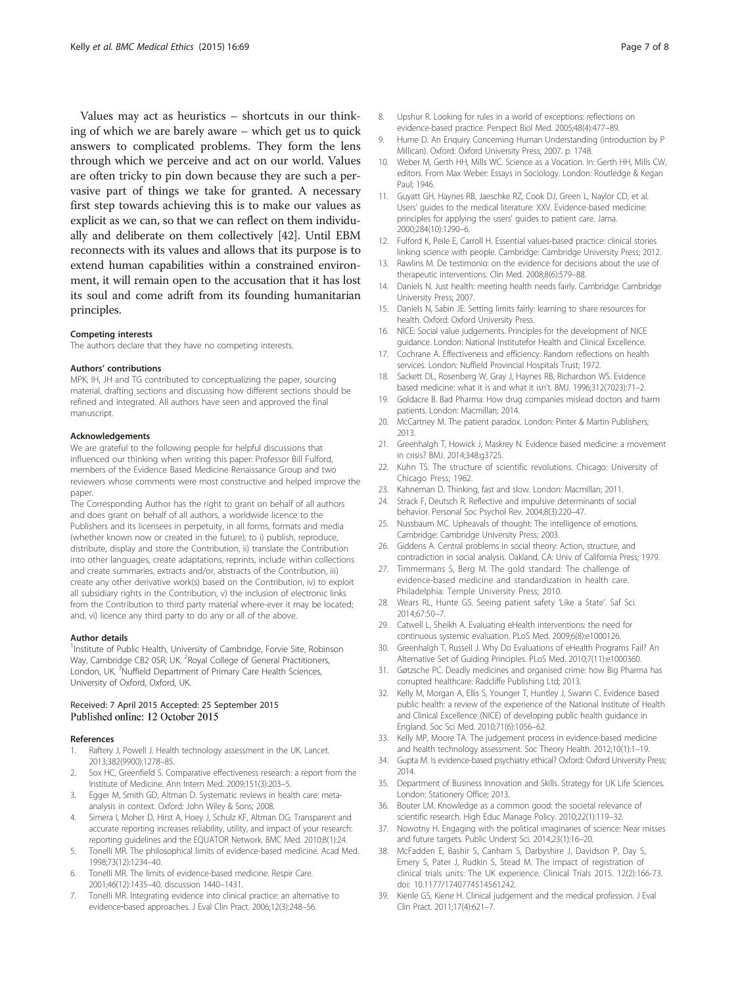<span id="page-6-0"></span>Values may act as heuristics – shortcuts in our thinking of which we are barely aware – which get us to quick answers to complicated problems. They form the lens through which we perceive and act on our world. Values are often tricky to pin down because they are such a pervasive part of things we take for granted. A necessary first step towards achieving this is to make our values as explicit as we can, so that we can reflect on them individually and deliberate on them collectively [[42](#page-7-0)]. Until EBM reconnects with its values and allows that its purpose is to extend human capabilities within a constrained environment, it will remain open to the accusation that it has lost its soul and come adrift from its founding humanitarian principles.

#### Competing interests

The authors declare that they have no competing interests.

#### Authors' contributions

MPK, IH, JH and TG contributed to conceptualizing the paper, sourcing material, drafting sections and discussing how different sections should be refined and integrated. All authors have seen and approved the final manuscript.

#### Acknowledgements

We are grateful to the following people for helpful discussions that influenced our thinking when writing this paper: Professor Bill Fulford, members of the Evidence Based Medicine Renaissance Group and two reviewers whose comments were most constructive and helped improve the paper.

The Corresponding Author has the right to grant on behalf of all authors and does grant on behalf of all authors, a worldwide licence to the Publishers and its licensees in perpetuity, in all forms, formats and media (whether known now or created in the future), to i) publish, reproduce, distribute, display and store the Contribution, ii) translate the Contribution into other languages, create adaptations, reprints, include within collections and create summaries, extracts and/or, abstracts of the Contribution, iii) create any other derivative work(s) based on the Contribution, iv) to exploit all subsidiary rights in the Contribution, v) the inclusion of electronic links from the Contribution to third party material where-ever it may be located; and, vi) licence any third party to do any or all of the above.

#### Author details

<sup>1</sup>Institute of Public Health, University of Cambridge, Forvie Site, Robinson Way, Cambridge CB2 0SR, UK. <sup>2</sup>Royal College of General Practitioners, London, UK. <sup>3</sup>Nuffield Department of Primary Care Health Sciences, University of Oxford, Oxford, UK.

### Received: 7 April 2015 Accepted: 25 September 2015 Published online: 12 October 2015

## References

- 1. Raftery J, Powell J. Health technology assessment in the UK. Lancet. 2013;382(9900):1278–85.
- 2. Sox HC, Greenfield S. Comparative effectiveness research: a report from the Institute of Medicine. Ann Intern Med. 2009;151(3):203–5.
- 3. Egger M, Smith GD, Altman D. Systematic reviews in health care: metaanalysis in context. Oxford: John Wiley & Sons; 2008.
- 4. Simera I, Moher D, Hirst A, Hoey J, Schulz KF, Altman DG. Transparent and accurate reporting increases reliability, utility, and impact of your research: reporting guidelines and the EQUATOR Network. BMC Med. 2010;8(1):24.
- 5. Tonelli MR. The philosophical limits of evidence-based medicine. Acad Med. 1998;73(12):1234–40.
- Tonelli MR. The limits of evidence-based medicine. Respir Care. 2001;46(12):1435–40. discussion 1440–1431.
- 7. Tonelli MR. Integrating evidence into clinical practice: an alternative to evidence-based approaches. J Eval Clin Pract. 2006;12(3):248-56.
- 8. Upshur R. Looking for rules in a world of exceptions: reflections on evidence-based practice. Perspect Biol Med. 2005;48(4):477–89.
- 9. Hume D. An Enquiry Concerning Human Understanding (introduction by P Millican). Oxford: Oxford University Press; 2007. p. 1748.
- 10. Weber M, Gerth HH, Mills WC. Science as a Vocation. In: Gerth HH, Mills CW, editors. From Max Weber: Essays in Sociology. London: Routledge & Kegan Paul; 1946.
- 11. Guyatt GH, Haynes RB, Jaeschke RZ, Cook DJ, Green L, Naylor CD, et al. Users' guides to the medical literature: XXV. Evidence-based medicine: principles for applying the users' guides to patient care. Jama. 2000;284(10):1290–6.
- 12. Fulford K, Peile E, Carroll H. Essential values-based practice: clinical stories linking science with people. Cambridge: Cambridge University Press; 2012.
- 13. Rawlins M. De testimonio: on the evidence for decisions about the use of therapeutic interventions. Clin Med. 2008;8(6):579–88.
- 14. Daniels N. Just health: meeting health needs fairly. Cambridge: Cambridge University Press; 2007.
- 15. Daniels N, Sabin JE. Setting limits fairly: learning to share resources for health. Oxford: Oxford University Press.
- 16. NICE: Social value judgements. Principles for the development of NICE guidance. London: National Institutefor Health and Clinical Excellence.
- 17. Cochrane A. Effectiveness and efficiency: Random reflections on health services. London: Nuffield Provincial Hospitals Trust; 1972.
- 18. Sackett DL, Rosenberg W, Gray J, Haynes RB, Richardson WS. Evidence based medicine: what it is and what it isn't. BMJ. 1996;312(7023):71–2.
- 19. Goldacre B. Bad Pharma: How drug companies mislead doctors and harm patients. London: Macmillan; 2014.
- 20. McCartney M. The patient paradox. London: Pinter & Martin Publishers; 2013.
- 21. Greenhalgh T, Howick J, Maskrey N. Evidence based medicine: a movement in crisis? BMJ. 2014;348:g3725.
- 22. Kuhn TS. The structure of scientific revolutions. Chicago: University of Chicago Press; 1962.
- 23. Kahneman D. Thinking, fast and slow. London: Macmillan; 2011.
- 24. Strack F, Deutsch R. Reflective and impulsive determinants of social behavior. Personal Soc Psychol Rev. 2004;8(3):220–47.
- 25. Nussbaum MC. Upheavals of thought: The intelligence of emotions. Cambridge: Cambridge University Press; 2003.
- 26. Giddens A. Central problems in social theory: Action, structure, and contradiction in social analysis. Oakland, CA: Univ of California Press; 1979.
- 27. Timmermans S, Berg M. The gold standard: The challenge of evidence-based medicine and standardization in health care. Philadelphia: Temple University Press; 2010.
- 28. Wears RL, Hunte GS. Seeing patient safety 'Like a State'. Saf Sci. 2014;67:50–7.
- 29. Catwell L, Sheikh A. Evaluating eHealth interventions: the need for continuous systemic evaluation. PLoS Med. 2009;6(8):e1000126.
- 30. Greenhalgh T, Russell J. Why Do Evaluations of eHealth Programs Fail? An Alternative Set of Guiding Principles. PLoS Med. 2010;7(11):e1000360.
- 31. Gøtzsche PC. Deadly medicines and organised crime: how Big Pharma has corrupted healthcare: Radcliffe Publishing Ltd; 2013.
- 32. Kelly M, Morgan A, Ellis S, Younger T, Huntley J, Swann C. Evidence based public health: a review of the experience of the National Institute of Health and Clinical Excellence (NICE) of developing public health guidance in England. Soc Sci Med. 2010;71(6):1056–62.
- 33. Kelly MP, Moore TA. The judgement process in evidence-based medicine and health technology assessment. Soc Theory Health. 2012;10(1):1–19.
- 34. Gupta M. Is evidence-based psychiatry ethical? Oxford: Oxford University Press; 2014.
- 35. Department of Business Innovation and Skills. Strategy for UK Life Sciences. London: Stationery Office; 2013.
- 36. Bouter LM. Knowledge as a common good: the societal relevance of scientific research. High Educ Manage Policy. 2010;22(1):119–32.
- 37. Nowotny H. Engaging with the political imaginaries of science: Near misses and future targets. Public Underst Sci. 2014;23(1):16–20.
- 38. McFadden E, Bashir S, Canham S, Darbyshire J, Davidson P, Day S, Emery S, Pater J, Rudkin S, Stead M. The impact of registration of clinical trials units: The UK experience. Clinical Trials 2015. 12(2):166-73. doi: [10.1177/1740774514561242](http://dx.doi.org/10.1177/1740774514561242).
- 39. Kienle GS, Kiene H. Clinical judgement and the medical profession. J Eval Clin Pract. 2011;17(4):621–7.